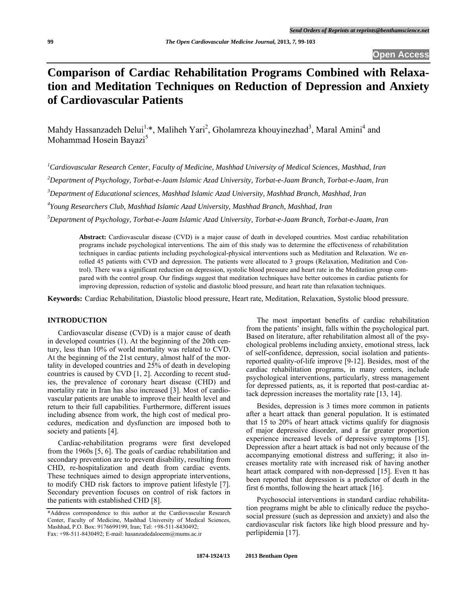# **Comparison of Cardiac Rehabilitation Programs Combined with Relaxation and Meditation Techniques on Reduction of Depression and Anxiety of Cardiovascular Patients**

Mahdy Hassanzadeh Delui<sup>1,\*</sup>, Maliheh Yari<sup>2</sup>, Gholamreza khouyinezhad<sup>3</sup>, Maral Amini<sup>4</sup> and Mohammad Hosein Bayazi<sup>5</sup>

*1 Cardiovascular Research Center, Faculty of Medicine, Mashhad University of Medical Sciences, Mashhad, Iran* 

*2 Department of Psychology, Torbat-e-Jaam Islamic Azad University, Torbat-e-Jaam Branch, Torbat-e-Jaam, Iran* 

*3 Department of Educational sciences, Mashhad Islamic Azad University, Mashhad Branch, Mashhad, Iran* 

*4 Young Researchers Club, Mashhad Islamic Azad University, Mashhad Branch, Mashhad, Iran* 

*5 Department of Psychology, Torbat-e-Jaam Islamic Azad University, Torbat-e-Jaam Branch, Torbat-e-Jaam, Iran* 

**Abstract:** Cardiovascular disease (CVD) is a major cause of death in developed countries*.* Most cardiac rehabilitation programs include psychological interventions*.* The aim of this study was to determine the effectiveness of rehabilitation techniques in cardiac patients including psychological-physical interventions such as Meditation and Relaxation. We enrolled 45 patients with CVD and depression. The patients were allocated to 3 groups (Relaxation, Meditation and Control). There was a significant reduction on depression, systolic blood pressure and heart rate in the Meditation group compared with the control group. Our findings suggest that meditation techniques have better outcomes in cardiac patients for improving depression, reduction of systolic and diastolic blood pressure, and heart rate than relaxation techniques.

**Keywords:** Cardiac Rehabilitation, Diastolic blood pressure, Heart rate, Meditation, Relaxation, Systolic blood pressure.

# **INTRODUCTION**

 Cardiovascular disease (CVD) is a major cause of death in developed countries (1). At the beginning of the 20th century, less than 10% of world mortality was related to CVD. At the beginning of the 21st century, almost half of the mortality in developed countries and 25% of death in developing countries is caused by CVD [1, 2]. According to recent studies, the prevalence of coronary heart disease (CHD) and mortality rate in Iran has also increased [3]. Most of cardiovascular patients are unable to improve their health level and return to their full capabilities. Furthermore, different issues including absence from work, the high cost of medical procedures, medication and dysfunction are imposed both to society and patients [4].

 Cardiac-rehabilitation programs were first developed from the 1960s [5, 6]. The goals of cardiac rehabilitation and secondary prevention are to prevent disability, resulting from CHD, re-hospitalization and death from cardiac events. These techniques aimed to design appropriate interventions, to modify CHD risk factors to improve patient lifestyle [7]. Secondary prevention focuses on control of risk factors in the patients with established CHD [8].

 The most important benefits of cardiac rehabilitation from the patients' insight, falls within the psychological part. Based on literature, after rehabilitation almost all of the psychological problems including anxiety, emotional stress, lack of self-confidence, depression, social isolation and patientsreported quality-of-life improve [9-12]. Besides, most of the cardiac rehabilitation programs, in many centers, include psychological interventions, particularly, stress management for depressed patients, as, it is reported that post-cardiac attack depression increases the mortality rate [13, 14].

 Besides, depression is 3 times more common in patients after a heart attack than general population. It is estimated that 15 to 20% of heart attack victims qualify for diagnosis of major depressive disorder, and a far greater proportion experience increased levels of depressive symptoms [15]. Depression after a heart attack is bad not only because of the accompanying emotional distress and suffering; it also increases mortality rate with increased risk of having another heart attack compared with non-depressed [15]. Even tt has been reported that depression is a predictor of death in the first 6 months, following the heart attack [16].

 Psychosocial interventions in standard cardiac rehabilitation programs might be able to clinically reduce the psychosocial pressure (such as depression and anxiety) and also the cardiovascular risk factors like high blood pressure and hyperlipidemia [17].

<sup>\*</sup>Address correspondence to this author at the Cardiovascular Research Center, Faculty of Medicine, Mashhad University of Medical Sciences, Mashhad, P.O. Box: 9176699199, Iran; Tel: +98-511-8430492; Fax: +98-511-8430492; E-mail: hasanzadedaloeem@mums.ac.ir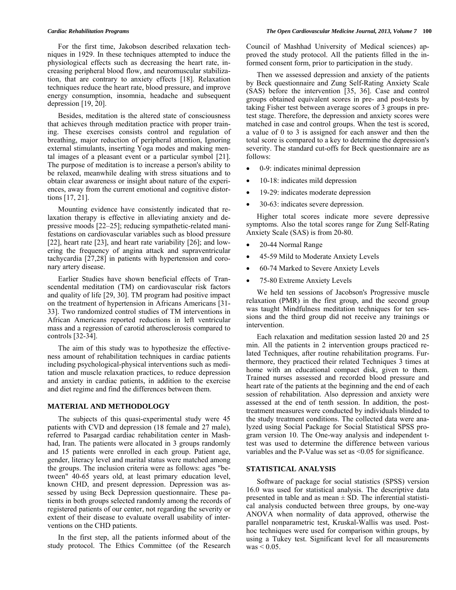For the first time, Jakobson described relaxation techniques in 1929. In these techniques attempted to induce the physiological effects such as decreasing the heart rate, increasing peripheral blood flow, and neuromuscular stabilization, that are contrary to anxiety effects [18]. Relaxation techniques reduce the heart rate, blood pressure, and improve energy consumption, insomnia, headache and subsequent depression [19, 20].

 Besides, meditation is the altered state of consciousness that achieves through meditation practice with proper training. These exercises consists control and regulation of breathing, major reduction of peripheral attention, Ignoring external stimulants, inserting Yoga modes and making mental images of a pleasant event or a particular symbol [21]. The purpose of meditation is to increase a person's ability to be relaxed, meanwhile dealing with stress situations and to obtain clear awareness or insight about nature of the experiences, away from the current emotional and cognitive distortions [17, 21].

 Mounting evidence have consistently indicated that relaxation therapy is effective in alleviating anxiety and depressive moods [22–25]; reducing sympathetic-related manifestations on cardiovascular variables such as blood pressure [22], heart rate [23], and heart rate variability [26]; and lowering the frequency of angina attack and supraventricular tachycardia [27,28] in patients with hypertension and coronary artery disease.

 Earlier Studies have shown beneficial effects of Transcendental meditation (TM) on cardiovascular risk factors and quality of life [29, 30]. TM program had positive impact on the treatment of hypertension in Africans Americans [31- 33]. Two randomized control studies of TM interventions in African Americans reported reductions in left ventricular mass and a regression of carotid atherosclerosis compared to controls [32-34].

 The aim of this study was to hypothesize the effectiveness amount of rehabilitation techniques in cardiac patients including psychological-physical interventions such as meditation and muscle relaxation practices, to reduce depression and anxiety in cardiac patients, in addition to the exercise and diet regime and find the differences between them.

## **MATERIAL AND METHODOLOGY**

 The subjects of this quasi-experimental study were 45 patients with CVD and depression (18 female and 27 male), referred to Pasargad cardiac rehabilitation center in Mashhad, Iran. The patients were allocated in 3 groups randomly and 15 patients were enrolled in each group. Patient age, gender, literacy level and marital status were matched among the groups. The inclusion criteria were as follows: ages "between" 40-65 years old, at least primary education level, known CHD, and present depression. Depression was assessed by using Beck Depression questionnaire. These patients in both groups selected randomly among the records of registered patients of our center, not regarding the severity or extent of their disease to evaluate overall usability of interventions on the CHD patients.

 In the first step, all the patients informed about of the study protocol. The Ethics Committee (of the Research Council of Mashhad University of Medical sciences) approved the study protocol. All the patients filled in the informed consent form, prior to participation in the study.

 Then we assessed depression and anxiety of the patients by Beck questionnaire and Zung Self-Rating Anxiety Scale (SAS) before the intervention [35, 36]. Case and control groups obtained equivalent scores in pre- and post-tests by taking Fisher test between average scores of 3 groups in pretest stage. Therefore, the depression and anxiety scores were matched in case and control groups. When the test is scored, a value of 0 to 3 is assigned for each answer and then the total score is compared to a key to determine the depression's severity. The standard cut-offs for Beck questionnaire are as follows:

- 0-9: indicates minimal depression
- 10-18: indicates mild depression
- 19-29: indicates moderate depression
- 30-63: indicates severe depression.

 Higher total scores indicate more severe depressive symptoms. Also the total scores range for Zung Self-Rating Anxiety Scale (SAS) is from 20-80.

- 20-44 Normal Range
- 45-59 Mild to Moderate Anxiety Levels
- 60-74 Marked to Severe Anxiety Levels
- 75-80 Extreme Anxiety Levels

 We held ten sessions of Jacobson's Progressive muscle relaxation (PMR) in the first group, and the second group was taught Mindfulness meditation techniques for ten sessions and the third group did not receive any trainings or intervention.

 Each relaxation and meditation session lasted 20 and 25 min. All the patients in 2 intervention groups practiced related Techniques, after routine rehabilitation programs. Furthermore, they practiced their related Techniques 3 times at home with an educational compact disk, given to them. Trained nurses assessed and recorded blood pressure and heart rate of the patients at the beginning and the end of each session of rehabilitation. Also depression and anxiety were assessed at the end of tenth session. In addition, the posttreatment measures were conducted by individuals blinded to the study treatment conditions. The collected data were analyzed using Social Package for Social Statistical SPSS program version 10. The One-way analysis and independent ttest was used to determine the difference between various variables and the P-Value was set as <0.05 for significance.

## **STATISTICAL ANALYSIS**

 Software of package for social statistics (SPSS) version 16.0 was used for statistical analysis. The descriptive data presented in table and as mean  $\pm$  SD. The inferential statistical analysis conducted between three groups, by one-way ANOVA when normality of data approved, otherwise the parallel nonparametric test, Kruskal-Wallis was used. Posthoc techniques were used for comparison within groups, by using a Tukey test. Significant level for all measurements  $was < 0.05$ .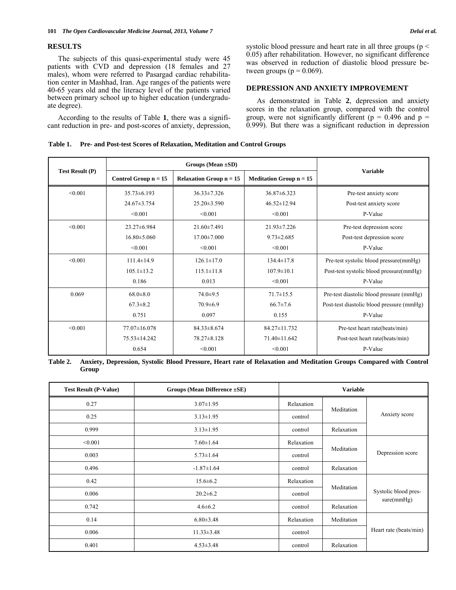## **RESULTS**

 The subjects of this quasi-experimental study were 45 patients with CVD and depression (18 females and 27 males), whom were referred to Pasargad cardiac rehabilitation center in Mashhad, Iran. Age ranges of the patients were 40-65 years old and the literacy level of the patients varied between primary school up to higher education (undergraduate degree).

 According to the results of Table **1**, there was a significant reduction in pre- and post-scores of anxiety, depression, systolic blood pressure and heart rate in all three groups ( $p <$ 0.05) after rehabilitation. However, no significant difference was observed in reduction of diastolic blood pressure between groups ( $p = 0.069$ ).

#### **DEPRESSION AND ANXIETY IMPROVEMENT**

 As demonstrated in Table **2**, depression and anxiety scores in the relaxation group, compared with the control group, were not significantly different ( $p = 0.496$  and  $p =$ 0.999). But there was a significant reduction in depression

#### **Table 1. Pre- and Post-test Scores of Relaxation, Meditation and Control Groups**

|                        | Groups (Mean $\pm SD$ ) |                                             |                                             |                                           |  |
|------------------------|-------------------------|---------------------------------------------|---------------------------------------------|-------------------------------------------|--|
| <b>Test Result (P)</b> | Control Group $n = 15$  | <b>Relaxation Group <math>n = 15</math></b> | <b>Meditation Group <math>n = 15</math></b> | <b>Variable</b>                           |  |
| < 0.001                | $35.73\pm 6.193$        | $36.33 \pm 7.326$                           | $36.87\pm 6.323$                            | Pre-test anxiety score                    |  |
|                        | $24.67\pm3.754$         | $25.20 \pm 3.590$                           | $46.52 \pm 12.94$                           | Post-test anxiety score                   |  |
|                        | < 0.001                 | < 0.001                                     | < 0.001                                     | P-Value                                   |  |
| < 0.001                | $23.27\pm 6.984$        | $21.60 \pm 7.491$                           | $21.93 \pm 7.226$                           | Pre-test depression score                 |  |
|                        | $16.80 \pm 5.060$       | $17.00 \pm 7.000$                           | $9.73 \pm 2.685$                            | Post-test depression score                |  |
|                        | < 0.001                 | < 0.001                                     | < 0.001                                     | P-Value                                   |  |
| < 0.001                | $111.4 \pm 14.9$        | $126.1 \pm 17.0$                            | $134.4 \pm 17.8$                            | Pre-test systolic blood pressure(mmHg)    |  |
|                        | $105.1 \pm 13.2$        | $115.1 \pm 11.8$                            | $107.9 \pm 10.1$                            | Post-test systolic blood pressure(mmHg)   |  |
|                        | 0.186                   | 0.013                                       | < 0.001                                     | P-Value                                   |  |
| 0.069                  | $68.0 \pm 8.0$          | $74.0 \pm 9.5$                              | $71.7 \pm 15.5$                             | Pre-test diastolic blood pressure (mmHg)  |  |
|                        | $67.3 \pm 8.2$          | $70.9 \pm 6.9$                              | $66.7 \pm 7.6$                              | Post-test diastolic blood pressure (mmHg) |  |
|                        | 0.751                   | 0.097                                       | 0.155                                       | P-Value                                   |  |
| < 0.001                | $77.07\pm16.078$        | $84.33 \pm 8.674$                           | 84.27±11.732                                | Pre-test heart rate(beats/min)            |  |
|                        | $75.53 \pm 14.242$      | 78.27±8.128                                 | $71.40 \pm 11.642$                          | Post-test heart rate(beats/min)           |  |
|                        | 0.654                   | < 0.001                                     | < 0.001                                     | P-Value                                   |  |

**Table 2. Anxiety, Depression, Systolic Blood Pressure, Heart rate of Relaxation and Meditation Groups Compared with Control Group** 

| <b>Test Result (P-Value)</b><br>Groups (Mean Difference $\pm$ SE) |                  | <b>Variable</b> |            |                                    |
|-------------------------------------------------------------------|------------------|-----------------|------------|------------------------------------|
| 0.27                                                              | $3.07 \pm 1.95$  | Relaxation      | Meditation | Anxiety score                      |
| 0.25                                                              | $3.13 \pm 1.95$  | control         |            |                                    |
| 0.999                                                             | $3.13 \pm 1.95$  | control         | Relaxation |                                    |
| < 0.001                                                           | $7.60 \pm 1.64$  | Relaxation      |            | Depression score                   |
| 0.003                                                             | $5.73 \pm 1.64$  | control         | Meditation |                                    |
| 0.496                                                             | $-1.87 \pm 1.64$ | control         | Relaxation |                                    |
| 0.42                                                              | $15.6 \pm 6.2$   | Relaxation      |            | Systolic blood pres-<br>sure(mmHg) |
| 0.006                                                             | $20.2 \pm 6.2$   | control         | Meditation |                                    |
| 0.742                                                             | $4.6 \pm 6.2$    | control         | Relaxation |                                    |
| 0.14                                                              | $6.80 \pm 3.48$  | Relaxation      | Meditation |                                    |
| 0.006                                                             | $11.33 \pm 3.48$ | control         |            | Heart rate (beats/min)             |
| 0.401                                                             | $4.53 \pm 3.48$  | control         | Relaxation |                                    |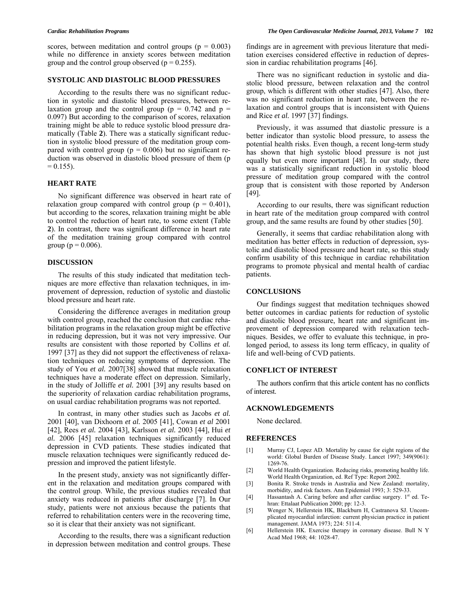scores, between meditation and control groups ( $p = 0.003$ ) while no difference in anxiety scores between meditation group and the control group observed  $(p = 0.255)$ .

# **SYSTOLIC AND DIASTOLIC BLOOD PRESSURES**

 According to the results there was no significant reduction in systolic and diastolic blood pressures, between relaxation group and the control group ( $p = 0.742$  and  $p =$ 0.097) But according to the comparison of scores, relaxation training might be able to reduce systolic blood pressure dramatically (Table **2**). There was a statically significant reduction in systolic blood pressure of the meditation group compared with control group ( $p = 0.006$ ) but no significant reduction was observed in diastolic blood pressure of them (p  $= 0.155$ ).

# **HEART RATE**

 No significant difference was observed in heart rate of relaxation group compared with control group ( $p = 0.401$ ), but according to the scores, relaxation training might be able to control the reduction of heart rate, to some extent (Table **2**). In contrast, there was significant difference in heart rate of the meditation training group compared with control group ( $p = 0.006$ ).

# **DISCUSSION**

 The results of this study indicated that meditation techniques are more effective than relaxation techniques, in improvement of depression, reduction of systolic and diastolic blood pressure and heart rate.

 Considering the difference averages in meditation group with control group, reached the conclusion that cardiac rehabilitation programs in the relaxation group might be effective in reducing depression, but it was not very impressive. Our results are consistent with those reported by Collins *et al.* 1997 [37] as they did not support the effectiveness of relaxation techniques on reducing symptoms of depression. The study of You *et al.* 2007[38] showed that muscle relaxation techniques have a moderate effect on depression. Similarly, in the study of Jolliffe *et al.* 2001 [39] any results based on the superiority of relaxation cardiac rehabilitation programs, on usual cardiac rehabilitation programs was not reported.

 In contrast, in many other studies such as Jacobs *et al.* 2001 [40], van Dixhoorn *et al.* 2005 [41], Cowan *et al* 2001 [42], Rees *et al.* 2004 [43], Karlsson *et al.* 2003 [44], Hui *et al.* 2006 [45] relaxation techniques significantly reduced depression in CVD patients. These studies indicated that muscle relaxation techniques were significantly reduced depression and improved the patient lifestyle.

 In the present study, anxiety was not significantly different in the relaxation and meditation groups compared with the control group. While, the previous studies revealed that anxiety was reduced in patients after discharge [7]. In Our study, patients were not anxious because the patients that referred to rehabilitation centers were in the recovering time, so it is clear that their anxiety was not significant.

 According to the results, there was a significant reduction in depression between meditation and control groups. These findings are in agreement with previous literature that meditation exercises considered effective in reduction of depression in cardiac rehabilitation programs [46].

 There was no significant reduction in systolic and diastolic blood pressure, between relaxation and the control group, which is different with other studies [47]. Also, there was no significant reduction in heart rate, between the relaxation and control groups that is inconsistent with Quiens and Rice *et al.* 1997 [37] findings.

 Previously, it was assumed that diastolic pressure is a better indicator than systolic blood pressure, to assess the potential health risks. Even though, a recent long-term study has shown that high systolic blood pressure is not just equally but even more important [48]. In our study, there was a statistically significant reduction in systolic blood pressure of meditation group compared with the control group that is consistent with those reported by Anderson [49].

 According to our results, there was significant reduction in heart rate of the meditation group compared with control group, and the same results are found by other studies [50].

 Generally, it seems that cardiac rehabilitation along with meditation has better effects in reduction of depression, systolic and diastolic blood pressure and heart rate, so this study confirm usability of this technique in cardiac rehabilitation programs to promote physical and mental health of cardiac patients.

#### **CONCLUSIONS**

 Our findings suggest that meditation techniques showed better outcomes in cardiac patients for reduction of systolic and diastolic blood pressure, heart rate and significant improvement of depression compared with relaxation techniques. Besides, we offer to evaluate this technique, in prolonged period, to assess its long term efficacy, in quality of life and well-being of CVD patients.

#### **CONFLICT OF INTEREST**

 The authors confirm that this article content has no conflicts of interest.

#### **ACKNOWLEDGEMENTS**

None declared.

#### **REFERENCES**

- [1] Murray CJ, Lopez AD. Mortality by cause for eight regions of the world: Global Burden of Disease Study. Lancet 1997; 349(9061): 1269-76.
- [2] World Health Organization. Reducing risks, promoting healthy life. World Health Organization, ed. Ref Type: Report 2002.
- [3] Bonita R. Stroke trends in Australia and New Zealand: mortality, morbidity, and risk factors. Ann Epidemiol 1993; 3: 529-33.
- [4] Hassantash A. Caring before and after cardiac surgery. 1<sup>st</sup> ed. Tehran: Ettalaat Publication 2000; pp: 12-3.
- [5] Wenger N, Hellerstein HK, Blackburn H, Castranova SJ. Uncomplicated myocardial infarction: current physician practice in patient management. JAMA 1973; 224: 511-4.
- [6] Hellerstein HK. Exercise therapy in coronary disease. Bull N Y Acad Med 1968; 44: 1028-47.